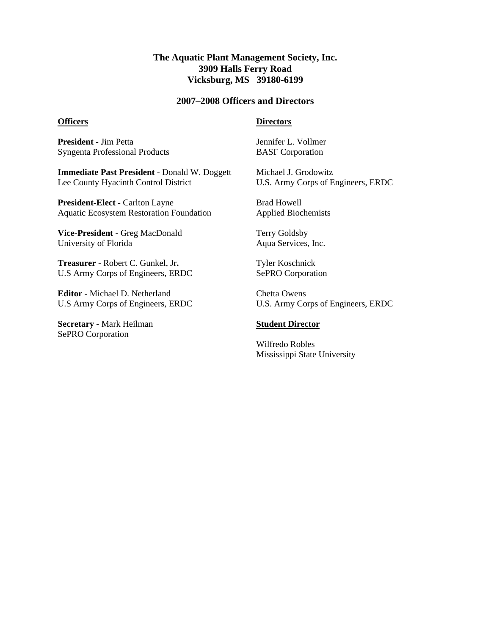## **The Aquatic Plant Management Society, Inc. 3909 Halls Ferry Road Vicksburg, MS 39180-6199**

#### **2007–2008 Officers and Directors**

#### **Officers**

#### **Directors**

**President -** Jim Petta Syngenta Professional Products

**Immediate Past President -** Donald W. Doggett Lee County Hyacinth Control District

**President-Elect -** Carlton Layne Aquatic Ecosystem Restoration Foundation

**Vice-President -** Greg MacDonald University of Florida

**Treasurer -** Robert C. Gunkel, Jr**.** U.S Army Corps of Engineers, ERDC

**Editor -** Michael D. Netherland U.S Army Corps of Engineers, ERDC

**Secretary -** Mark Heilman SePRO Corporation

Jennifer L. Vollmer BASF Corporation

Michael J. Grodowitz U.S. Army Corps of Engineers, ERDC

Brad Howell Applied Biochemists

Terry Goldsby Aqua Services, Inc.

Tyler Koschnick SePRO Corporation

Chetta Owens U.S. Army Corps of Engineers, ERDC

### **Student Director**

Wilfredo Robles Mississippi State University